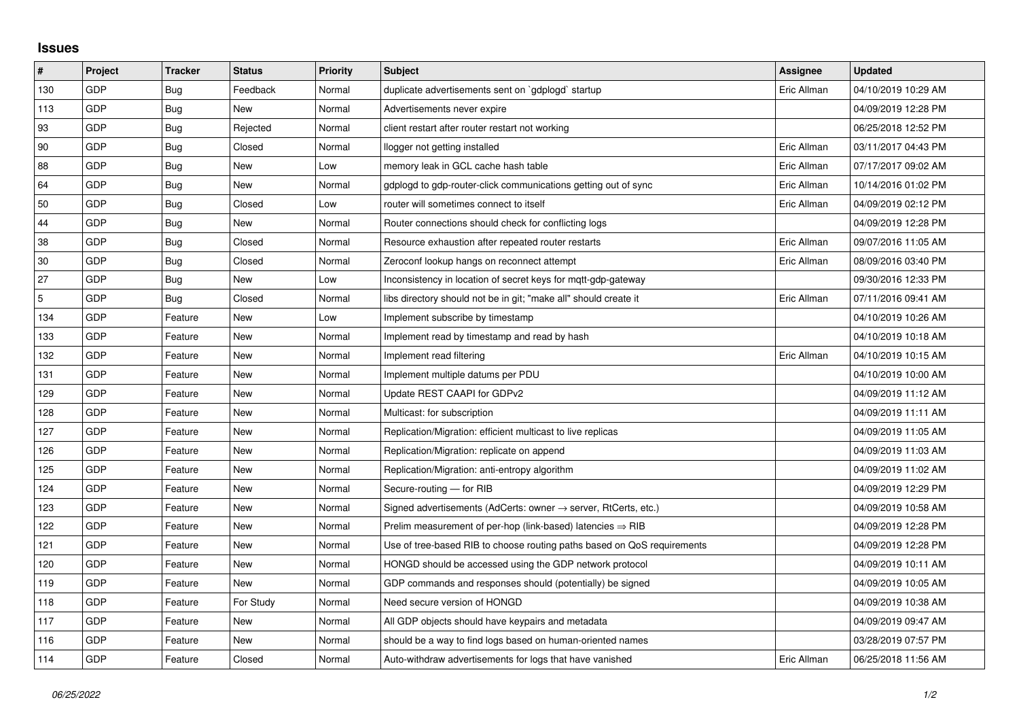## **Issues**

| $\pmb{\#}$  | Project | <b>Tracker</b> | <b>Status</b> | <b>Priority</b> | <b>Subject</b>                                                             | <b>Assignee</b> | <b>Updated</b>      |
|-------------|---------|----------------|---------------|-----------------|----------------------------------------------------------------------------|-----------------|---------------------|
| 130         | GDP     | Bug            | Feedback      | Normal          | duplicate advertisements sent on `gdplogd` startup                         | Eric Allman     | 04/10/2019 10:29 AM |
| 113         | GDP     | Bug            | New           | Normal          | Advertisements never expire                                                |                 | 04/09/2019 12:28 PM |
| 93          | GDP     | Bug            | Rejected      | Normal          | client restart after router restart not working                            |                 | 06/25/2018 12:52 PM |
| 90          | GDP     | Bug            | Closed        | Normal          | llogger not getting installed                                              | Eric Allman     | 03/11/2017 04:43 PM |
| 88          | GDP     | Bug            | New           | Low             | memory leak in GCL cache hash table                                        | Eric Allman     | 07/17/2017 09:02 AM |
| 64          | GDP     | Bug            | <b>New</b>    | Normal          | gdplogd to gdp-router-click communications getting out of sync             | Eric Allman     | 10/14/2016 01:02 PM |
| 50          | GDP     | Bug            | Closed        | Low             | router will sometimes connect to itself                                    | Eric Allman     | 04/09/2019 02:12 PM |
| 44          | GDP     | Bug            | New           | Normal          | Router connections should check for conflicting logs                       |                 | 04/09/2019 12:28 PM |
| 38          | GDP     | Bug            | Closed        | Normal          | Resource exhaustion after repeated router restarts                         | Eric Allman     | 09/07/2016 11:05 AM |
| 30          | GDP     | Bug            | Closed        | Normal          | Zeroconf lookup hangs on reconnect attempt                                 | Eric Allman     | 08/09/2016 03:40 PM |
| 27          | GDP     | Bug            | New           | Low             | Inconsistency in location of secret keys for mgtt-gdp-gateway              |                 | 09/30/2016 12:33 PM |
| $\mathbf 5$ | GDP     | <b>Bug</b>     | Closed        | Normal          | libs directory should not be in git; "make all" should create it           | Eric Allman     | 07/11/2016 09:41 AM |
| 134         | GDP     | Feature        | New           | Low             | Implement subscribe by timestamp                                           |                 | 04/10/2019 10:26 AM |
| 133         | GDP     | Feature        | <b>New</b>    | Normal          | Implement read by timestamp and read by hash                               |                 | 04/10/2019 10:18 AM |
| 132         | GDP     | Feature        | New           | Normal          | Implement read filtering                                                   | Eric Allman     | 04/10/2019 10:15 AM |
| 131         | GDP     | Feature        | New           | Normal          | Implement multiple datums per PDU                                          |                 | 04/10/2019 10:00 AM |
| 129         | GDP     | Feature        | <b>New</b>    | Normal          | Update REST CAAPI for GDPv2                                                |                 | 04/09/2019 11:12 AM |
| 128         | GDP     | Feature        | New           | Normal          | Multicast: for subscription                                                |                 | 04/09/2019 11:11 AM |
| 127         | GDP     | Feature        | New           | Normal          | Replication/Migration: efficient multicast to live replicas                |                 | 04/09/2019 11:05 AM |
| 126         | GDP     | Feature        | New           | Normal          | Replication/Migration: replicate on append                                 |                 | 04/09/2019 11:03 AM |
| 125         | GDP     | Feature        | New           | Normal          | Replication/Migration: anti-entropy algorithm                              |                 | 04/09/2019 11:02 AM |
| 124         | GDP     | Feature        | New           | Normal          | Secure-routing - for RIB                                                   |                 | 04/09/2019 12:29 PM |
| 123         | GDP     | Feature        | New           | Normal          | Signed advertisements (AdCerts: owner $\rightarrow$ server, RtCerts, etc.) |                 | 04/09/2019 10:58 AM |
| 122         | GDP     | Feature        | New           | Normal          | Prelim measurement of per-hop (link-based) latencies $\Rightarrow$ RIB     |                 | 04/09/2019 12:28 PM |
| 121         | GDP     | Feature        | <b>New</b>    | Normal          | Use of tree-based RIB to choose routing paths based on QoS requirements    |                 | 04/09/2019 12:28 PM |
| 120         | GDP     | Feature        | New           | Normal          | HONGD should be accessed using the GDP network protocol                    |                 | 04/09/2019 10:11 AM |
| 119         | GDP     | Feature        | New           | Normal          | GDP commands and responses should (potentially) be signed                  |                 | 04/09/2019 10:05 AM |
| 118         | GDP     | Feature        | For Study     | Normal          | Need secure version of HONGD                                               |                 | 04/09/2019 10:38 AM |
| 117         | GDP     | Feature        | <b>New</b>    | Normal          | All GDP objects should have keypairs and metadata                          |                 | 04/09/2019 09:47 AM |
| 116         | GDP     | Feature        | New           | Normal          | should be a way to find logs based on human-oriented names                 |                 | 03/28/2019 07:57 PM |
| 114         | GDP     | Feature        | Closed        | Normal          | Auto-withdraw advertisements for logs that have vanished                   | Eric Allman     | 06/25/2018 11:56 AM |